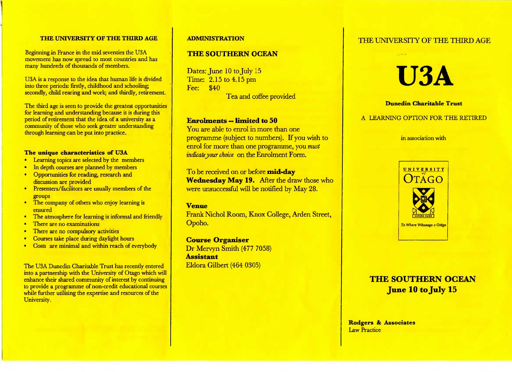#### **THE UNIVERSITY OF THE THIRD AGE**

Beginning in France in the mid seventies the USA movement has now spread to most countries and hasmany hundreds of thousands of members.

USA is a response to the idea that human life is divided into three periods: firstly, childhood and schooling;secondly, child rearing and work; and thirdly, retirement.

The third age is seen to provide the greatest opportunities for learning and understanding because it is during thisperiod of retirement that the idea of a university as a community of those who seek greater understandingthrough learning can be put into practice.

#### **The unique characteristics of USA**

- Learning topics are selected by the members
- In depth courses are planned by members
- Opportunities for reading, research anddiscussion are provided
- Presenters/facilitors are usually members of thegroups
- The company of others who enjoy learning isensured
- The atmosphere for learning is informal and friendly
- There are no examinations
- There are no compulsory activities
- Courses take place during daylight hours
- Costs are minimal and within reach of everybody

The USA Dunedin Charitable Trust has recently entered into a partnership with the University of Otago which will enhance their shared community of interest by continuing to provide a programme of non-credit educational courseswhile further utilising the expertise and resources of theUniversity.

#### **ADMINISTRATION**

## **THE SOUTHERN OCEAN**

Dates: June 10 to July 15 Time: 2.15 to 4.15 pm Fee: \$40Tea and coffee provided

#### **Enrolments — limited to 50**

 You are able to enrol in more than one programme (subject to numbers). If you wish to enrol for more than one programme, you *mustindicate your choice* on the Enrolment Form.

To be received on or before **mid-day Wednesday May 19.** After the draw those whowere unsuccessful will be notified by May 28.

#### **Venue**

 Frank Nichol Room, Knox College, Arden Street,Opoho.

**Course Organiser** Dr Mervyn Smith (477 7058) **Assistant**Eldora Gilbert (464 0305)

# THE UNIVERSITY OF THE THIRD AGE

# **USA**

#### **Dunedin Charitable Trust**

#### A LEARNING OPTION FOR THE RETIRED

#### in association with



# **THE SOUTHERN OCEANJune 10 to July 15**

Rodgers & **Associates**Law Practice